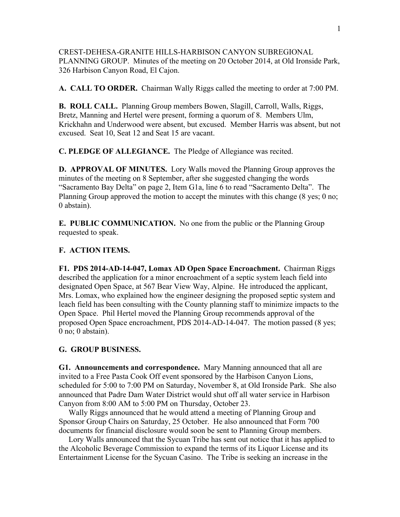CREST-DEHESA-GRANITE HILLS-HARBISON CANYON SUBREGIONAL PLANNING GROUP. Minutes of the meeting on 20 October 2014, at Old Ironside Park, 326 Harbison Canyon Road, El Cajon.

**A. CALL TO ORDER.** Chairman Wally Riggs called the meeting to order at 7:00 PM.

**B. ROLL CALL.** Planning Group members Bowen, Slagill, Carroll, Walls, Riggs, Bretz, Manning and Hertel were present, forming a quorum of 8. Members Ulm, Krickhahn and Underwood were absent, but excused. Member Harris was absent, but not excused. Seat 10, Seat 12 and Seat 15 are vacant.

**C. PLEDGE OF ALLEGIANCE.** The Pledge of Allegiance was recited.

**D. APPROVAL OF MINUTES.** Lory Walls moved the Planning Group approves the minutes of the meeting on 8 September, after she suggested changing the words "Sacramento Bay Delta" on page 2, Item G1a, line 6 to read "Sacramento Delta". The Planning Group approved the motion to accept the minutes with this change (8 yes; 0 no; 0 abstain).

**E. PUBLIC COMMUNICATION.** No one from the public or the Planning Group requested to speak.

## **F. ACTION ITEMS.**

**F1. PDS 2014-AD-14-047, Lomax AD Open Space Encroachment.** Chairman Riggs described the application for a minor encroachment of a septic system leach field into designated Open Space, at 567 Bear View Way, Alpine. He introduced the applicant, Mrs. Lomax, who explained how the engineer designing the proposed septic system and leach field has been consulting with the County planning staff to minimize impacts to the Open Space. Phil Hertel moved the Planning Group recommends approval of the proposed Open Space encroachment, PDS 2014-AD-14-047. The motion passed (8 yes; 0 no; 0 abstain).

## **G. GROUP BUSINESS.**

**G1. Announcements and correspondence.** Mary Manning announced that all are invited to a Free Pasta Cook Off event sponsored by the Harbison Canyon Lions, scheduled for 5:00 to 7:00 PM on Saturday, November 8, at Old Ironside Park. She also announced that Padre Dam Water District would shut off all water service in Harbison Canyon from 8:00 AM to 5:00 PM on Thursday, October 23.

 Wally Riggs announced that he would attend a meeting of Planning Group and Sponsor Group Chairs on Saturday, 25 October. He also announced that Form 700 documents for financial disclosure would soon be sent to Planning Group members.

 Lory Walls announced that the Sycuan Tribe has sent out notice that it has applied to the Alcoholic Beverage Commission to expand the terms of its Liquor License and its Entertainment License for the Sycuan Casino. The Tribe is seeking an increase in the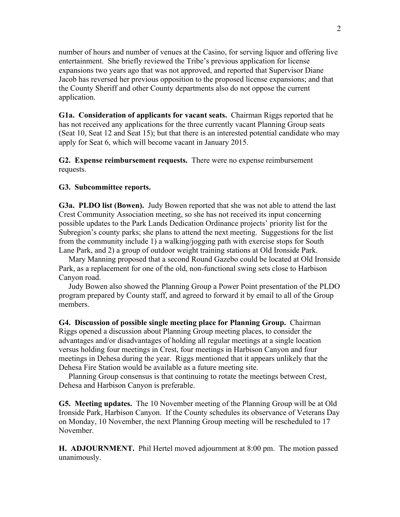number of hours and number of venues at the Casino, for serving liquor and offering live entertainment. She briefly reviewed the Tribe's previous application for license expansions two years ago that was not approved, and reported that Supervisor Diane Jacob has reversed her previous opposition to the proposed license expansions; and that the County Sheriff and other County departments also do not oppose the current application.

**G1a. Consideration of applicants for vacant seats.** Chairman Riggs reported that he has not received any applications for the three currently vacant Planning Group seats (Seat 10, Seat 12 and Seat 15); but that there is an interested potential candidate who may apply for Seat 6, which will become vacant in January 2015.

**G2. Expense reimbursement requests.** There were no expense reimbursement requests.

## **G3. Subcommittee reports.**

**G3a. PLDO list (Bowen).** Judy Bowen reported that she was not able to attend the last Crest Community Association meeting, so she has not received its input concerning possible updates to the Park Lands Dedication Ordinance projects' priority list for the Subregion's county parks; she plans to attend the next meeting. Suggestions for the list from the community include 1) a walking/jogging path with exercise stops for South Lane Park, and 2) a group of outdoor weight training stations at Old Ironside Park.

 Mary Manning proposed that a second Round Gazebo could be located at Old Ironside Park, as a replacement for one of the old, non-functional swing sets close to Harbison Canyon road.

 Judy Bowen also showed the Planning Group a Power Point presentation of the PLDO program prepared by County staff, and agreed to forward it by email to all of the Group members.

**G4. Discussion of possible single meeting place for Planning Group.** Chairman Riggs opened a discussion about Planning Group meeting places, to consider the advantages and/or disadvantages of holding all regular meetings at a single location versus holding four meetings in Crest, four meetings in Harbison Canyon and four meetings in Dehesa during the year. Riggs mentioned that it appears unlikely that the Dehesa Fire Station would be available as a future meeting site.

 Planning Group consensus is that continuing to rotate the meetings between Crest, Dehesa and Harbison Canyon is preferable.

**G5. Meeting updates.** The 10 November meeting of the Planning Group will be at Old Ironside Park, Harbison Canyon. If the County schedules its observance of Veterans Day on Monday, 10 November, the next Planning Group meeting will be rescheduled to 17 November.

**H. ADJOURNMENT.** Phil Hertel moved adjournment at 8:00 pm. The motion passed unanimously.